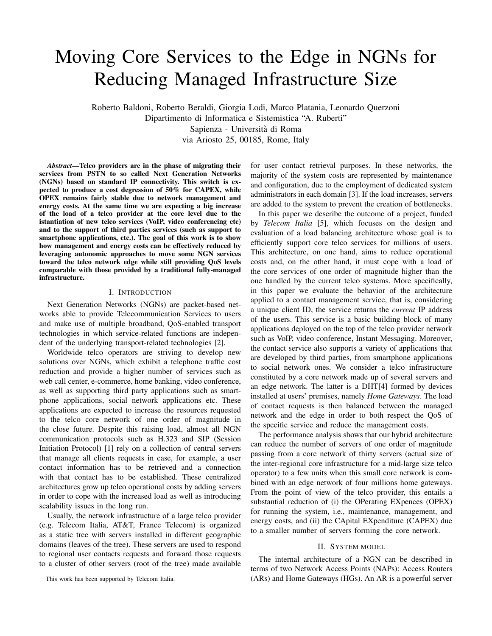# Moving Core Services to the Edge in NGNs for Reducing Managed Infrastructure Size

Roberto Baldoni, Roberto Beraldi, Giorgia Lodi, Marco Platania, Leonardo Querzoni Dipartimento di Informatica e Sistemistica "A. Ruberti" Sapienza - Universita di Roma ` via Ariosto 25, 00185, Rome, Italy

*Abstract***—Telco providers are in the phase of migrating their services from PSTN to so called Next Generation Networks (NGNs) based on standard IP connectivity. This switch is expected to produce a cost degression of 50% for CAPEX, while OPEX remains fairly stable due to network management and energy costs. At the same time we are expecting a big increase of the load of a telco provider at the core level due to the istantiation of new telco services (VoIP, video conferencing etc) and to the support of third parties services (such as support to smartphone applications, etc.). The goal of this work is to show how management and energy costs can be effectively reduced by leveraging autonomic approaches to move some NGN services toward the telco network edge while still providing QoS levels comparable with those provided by a traditional fully-managed infrastructure.**

#### I. INTRODUCTION

Next Generation Networks (NGNs) are packet-based networks able to provide Telecommunication Services to users and make use of multiple broadband, QoS-enabled transport technologies in which service-related functions are independent of the underlying transport-related technologies [2].

Worldwide telco operators are striving to develop new solutions over NGNs, which exhibit a telephone traffic cost reduction and provide a higher number of services such as web call center, e-commerce, home banking, video conference, as well as supporting third party applications such as smartphone applications, social network applications etc. These applications are expected to increase the resources requested to the telco core network of one order of magnitude in the close future. Despite this raising load, almost all NGN communication protocols such as H.323 and SIP (Session Initiation Protocol) [1] rely on a collection of central servers that manage all clients requests in case, for example, a user contact information has to be retrieved and a connection with that contact has to be established. These centralized architectures grow up telco operational costs by adding servers in order to cope with the increased load as well as introducing scalability issues in the long run.

Usually, the network infrastructure of a large telco provider (e.g. Telecom Italia, AT&T, France Telecom) is organized as a static tree with servers installed in different geographic domains (leaves of the tree). These servers are used to respond to regional user contacts requests and forward those requests to a cluster of other servers (root of the tree) made available

This work has been supported by Telecom Italia.

for user contact retrieval purposes. In these networks, the majority of the system costs are represented by maintenance and configuration, due to the employment of dedicated system administrators in each domain [3]. If the load increases, servers are added to the system to prevent the creation of bottlenecks.

In this paper we describe the outcome of a project, funded by *Telecom Italia* [5], which focuses on the design and evaluation of a load balancing architecture whose goal is to efficiently support core telco services for millions of users. This architecture, on one hand, aims to reduce operational costs and, on the other hand, it must cope with a load of the core services of one order of magnitude higher than the one handled by the current telco systems. More specifically, in this paper we evaluate the behavior of the architecture applied to a contact management service, that is, considering a unique client ID, the service returns the *current* IP address of the users. This service is a basic building block of many applications deployed on the top of the telco provider network such as VoIP, video conference, Instant Messaging. Moreover, the contact service also supports a variety of applications that are developed by third parties, from smartphone applications to social network ones. We consider a telco infrastructure constituted by a core network made up of several servers and an edge network. The latter is a DHT[4] formed by devices installed at users' premises, namely *Home Gateways*. The load of contact requests is then balanced between the managed network and the edge in order to both respect the QoS of the specific service and reduce the management costs.

The performance analysis shows that our hybrid architecture can reduce the number of servers of one order of magnitude passing from a core network of thirty servers (actual size of the inter-regional core infrastructure for a mid-large size telco operator) to a few units when this small core network is combined with an edge network of four millions home gateways. From the point of view of the telco provider, this entails a substantial reduction of (i) the OPerating EXpences (OPEX) for running the system, i.e., maintenance, management, and energy costs, and (ii) the CApital EXpenditure (CAPEX) due to a smaller number of servers forming the core network.

### II. SYSTEM MODEL

The internal architecture of a NGN can be described in terms of two Network Access Points (NAPs): Access Routers (ARs) and Home Gateways (HGs). An AR is a powerful server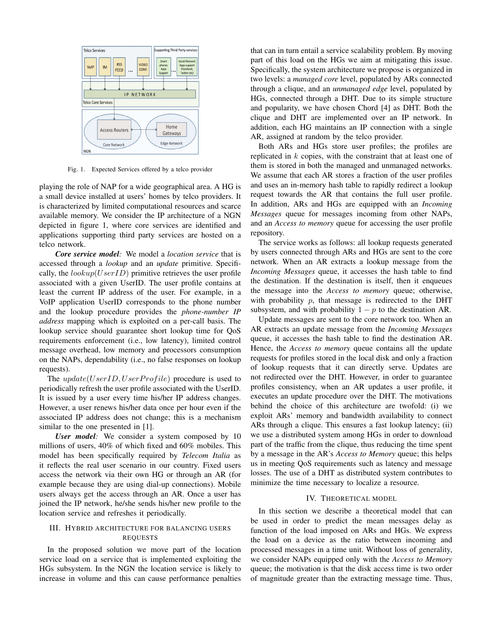

Fig. 1. Expected Services offered by a telco provider

playing the role of NAP for a wide geographical area. A HG is a small device installed at users' homes by telco providers. It is characterized by limited computational resources and scarce available memory. We consider the IP architecture of a NGN depicted in figure 1, where core services are identified and applications supporting third party services are hosted on a telco network.

*Core service model:* We model a *location service* that is accessed through a *lookup* and an *update* primitive. Specifically, the  $lookup(UserID)$  primitive retrieves the user profile associated with a given UserID. The user profile contains at least the current IP address of the user. For example, in a VoIP application UserID corresponds to the phone number and the lookup procedure provides the *phone-number IP address* mapping which is exploited on a per-call basis. The lookup service should guarantee short lookup time for QoS requirements enforcement (i.e., low latency), limited control message overhead, low memory and processors consumption on the NAPs, dependability (i.e., no false responses on lookup requests).

The  $update(UserID, UserProfile)$  procedure is used to periodically refresh the user profile associated with the UserID. It is issued by a user every time his/her IP address changes. However, a user renews his/her data once per hour even if the associated IP address does not change; this is a mechanism similar to the one presented in [1].

*User model:* We consider a system composed by 10 millions of users, 40% of which fixed and 60% mobiles. This model has been specifically required by *Telecom Italia* as it reflects the real user scenario in our country. Fixed users access the network via their own HG or through an AR (for example because they are using dial-up connections). Mobile users always get the access through an AR. Once a user has joined the IP network, he/she sends his/her new profile to the location service and refreshes it periodically.

## III. HYBRID ARCHITECTURE FOR BALANCING USERS REQUESTS

In the proposed solution we move part of the location service load on a service that is implemented exploiting the HGs subsystem. In the NGN the location service is likely to increase in volume and this can cause performance penalties that can in turn entail a service scalability problem. By moving part of this load on the HGs we aim at mitigating this issue. Specifically, the system architecture we propose is organized in two levels: a *managed core* level, populated by ARs connected through a clique, and an *unmanaged edge* level, populated by HGs, connected through a DHT. Due to its simple structure and popularity, we have chosen Chord [4] as DHT. Both the clique and DHT are implemented over an IP network. In addition, each HG maintains an IP connection with a single AR, assigned at random by the telco provider.

Both ARs and HGs store user profiles; the profiles are replicated in  $k$  copies, with the constraint that at least one of them is stored in both the managed and unmanaged networks. We assume that each AR stores a fraction of the user profiles and uses an in-memory hash table to rapidly redirect a lookup request towards the AR that contains the full user profile. In addition, ARs and HGs are equipped with an *Incoming Messages* queue for messages incoming from other NAPs, and an *Access to memory* queue for accessing the user profile repository.

The service works as follows: all lookup requests generated by users connected through ARs and HGs are sent to the core network. When an AR extracts a lookup message from the *Incoming Messages* queue, it accesses the hash table to find the destination. If the destination is itself, then it enqueues the message into the *Access to memory* queue; otherwise, with probability  $p$ , that message is redirected to the DHT subsystem, and with probability  $1 - p$  to the destination AR.

Update messages are sent to the core network too. When an AR extracts an update message from the *Incoming Messages* queue, it accesses the hash table to find the destination AR. Hence, the *Access to memory* queue contains all the update requests for profiles stored in the local disk and only a fraction of lookup requests that it can directly serve. Updates are not redirected over the DHT. However, in order to guarantee profiles consistency, when an AR updates a user profile, it executes an update procedure over the DHT. The motivations behind the choice of this architecture are twofold: (i) we exploit ARs' memory and bandwidth availability to connect ARs through a clique. This ensures a fast lookup latency; (ii) we use a distributed system among HGs in order to download part of the traffic from the clique, thus reducing the time spent by a message in the AR's *Access to Memory* queue; this helps us in meeting QoS requirements such as latency and message losses. The use of a DHT as distributed system contributes to minimize the time necessary to localize a resource.

## IV. THEORETICAL MODEL

In this section we describe a theoretical model that can be used in order to predict the mean messages delay as function of the load imposed on ARs and HGs. We express the load on a device as the ratio between incoming and processed messages in a time unit. Without loss of generality, we consider NAPs equipped only with the *Access to Memory* queue; the motivation is that the disk access time is two order of magnitude greater than the extracting message time. Thus,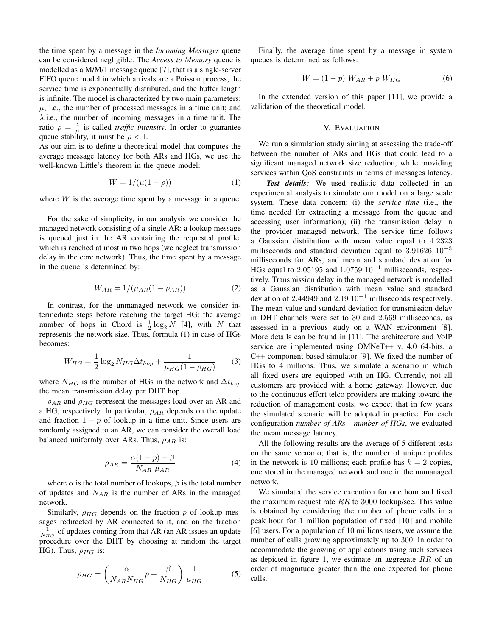the time spent by a message in the *Incoming Messages* queue can be considered negligible. The *Access to Memory* queue is modelled as a M/M/1 message queue [7], that is a single-server FIFO queue model in which arrivals are a Poisson process, the service time is exponentially distributed, and the buffer length is infinite. The model is characterized by two main parameters:  $\mu$ , i.e., the number of processed messages in a time unit; and  $\lambda$ , i.e., the number of incoming messages in a time unit. The ratio  $\rho = \frac{\lambda}{\mu}$  is called *traffic intensity*. In order to guarantee queue stability, it must be  $\rho < 1$ .

As our aim is to define a theoretical model that computes the average message latency for both ARs and HGs, we use the well-known Little's theorem in the queue model:

$$
W = 1/(\mu(1 - \rho))\tag{1}
$$

where  $W$  is the average time spent by a message in a queue.

For the sake of simplicity, in our analysis we consider the managed network consisting of a single AR: a lookup message is queued just in the AR containing the requested profile, which is reached at most in two hops (we neglect transmission delay in the core network). Thus, the time spent by a message in the queue is determined by:

$$
W_{AR} = 1/(\mu_{AR}(1 - \rho_{AR}))
$$
 (2)

In contrast, for the unmanaged network we consider intermediate steps before reaching the target HG: the average number of hops in Chord is  $\frac{1}{2} \log_2 N$  [4], with N that represents the network size. Thus, formula (1) in case of HGs becomes:

$$
W_{HG} = \frac{1}{2} \log_2 N_{HG} \Delta t_{hop} + \frac{1}{\mu_{HG} (1 - \rho_{HG})}
$$
(3)

where  $N_{HG}$  is the number of HGs in the network and  $\Delta t_{hop}$ the mean transmission delay per DHT hop.

 $\rho_{AR}$  and  $\rho_{HG}$  represent the messages load over an AR and a HG, respectively. In particular,  $\rho_{AR}$  depends on the update and fraction  $1 - p$  of lookup in a time unit. Since users are randomly assigned to an AR, we can consider the overall load balanced uniformly over ARs. Thus,  $\rho_{AR}$  is:

$$
\rho_{AR} = \frac{\alpha(1-p) + \beta}{N_{AR} \mu_{AR}} \tag{4}
$$

where  $\alpha$  is the total number of lookups,  $\beta$  is the total number of updates and  $N_{AR}$  is the number of ARs in the managed network.

Similarly,  $\rho_{HG}$  depends on the fraction p of lookup messages redirected by AR connected to it, and on the fraction  $\frac{1}{N_{HG}}$  of updates coming from that AR (an AR issues an update procedure over the DHT by choosing at random the target HG). Thus,  $\rho_{HG}$  is:

$$
\rho_{HG} = \left(\frac{\alpha}{N_{AR}N_{HG}}p + \frac{\beta}{N_{HG}}\right)\frac{1}{\mu_{HG}}
$$
(5)

Finally, the average time spent by a message in system queues is determined as follows:

$$
W = (1 - p) W_{AR} + p W_{HG}
$$
 (6)

In the extended version of this paper [11], we provide a validation of the theoretical model.

## V. EVALUATION

We run a simulation study aiming at assessing the trade-off between the number of ARs and HGs that could lead to a significant managed network size reduction, while providing services within QoS constraints in terms of messages latency.

*Test details:* We used realistic data collected in an experimental analysis to simulate our model on a large scale system. These data concern: (i) the *service time* (i.e., the time needed for extracting a message from the queue and accessing user information); (ii) the transmission delay in the provider managed network. The service time follows a Gaussian distribution with mean value equal to 4.2323 milliseconds and standard deviation equal to 3.91626  $10^{-3}$ milliseconds for ARs, and mean and standard deviation for HGs equal to 2.05195 and  $1.0759$   $10^{-1}$  milliseconds, respectively. Transmission delay in the managed network is modelled as a Gaussian distribution with mean value and standard deviation of 2.44949 and 2.19  $10^{-1}$  milliseconds respectively. The mean value and standard deviation for transmission delay in DHT channels were set to 30 and 2.569 milliseconds, as assessed in a previous study on a WAN environment [8]. More details can be found in [11]. The architecture and VoIP service are implemented using OMNeT++ v. 4.0 64-bits, a C++ component-based simulator [9]. We fixed the number of HGs to 4 millions. Thus, we simulate a scenario in which all fixed users are equipped with an HG. Currently, not all customers are provided with a home gateway. However, due to the continuous effort telco providers are making toward the reduction of management costs, we expect that in few years the simulated scenario will be adopted in practice. For each configuration *number of ARs - number of HGs*, we evaluated the mean message latency.

All the following results are the average of 5 different tests on the same scenario; that is, the number of unique profiles in the network is 10 millions; each profile has  $k = 2$  copies, one stored in the managed network and one in the unmanaged network.

We simulated the service execution for one hour and fixed the maximum request rate  $RR$  to 3000 lookup/sec. This value is obtained by considering the number of phone calls in a peak hour for 1 million population of fixed [10] and mobile [6] users. For a population of 10 millions users, we assume the number of calls growing approximately up to 300. In order to accommodate the growing of applications using such services as depicted in figure 1, we estimate an aggregate  $RR$  of an order of magnitude greater than the one expected for phone calls.